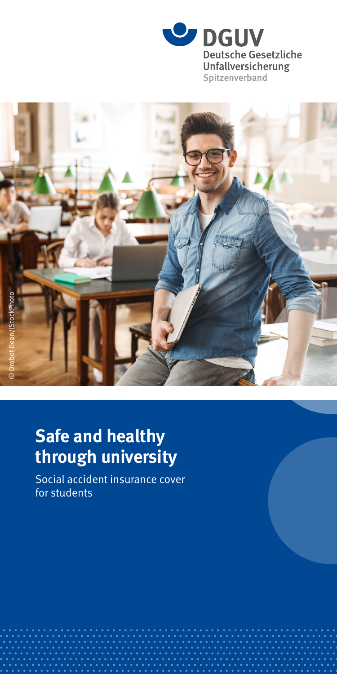



## **Safe and healthy through university**

Social accident insurance cover for students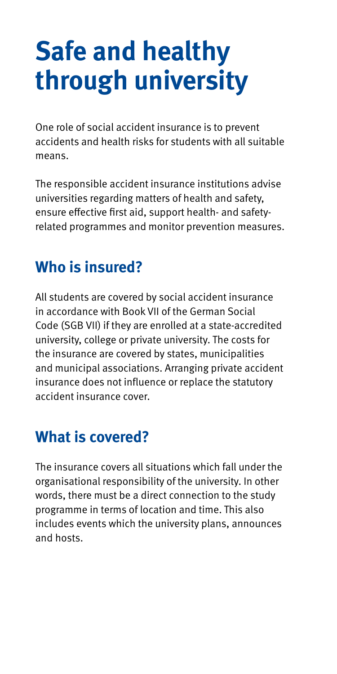# **Safe and healthy through university**

One role of social accident insurance is to prevent accidents and health risks for students with all suitable means.

The responsible accident insurance institutions advise universities regarding matters of health and safety, ensure effective first aid, support health- and safetyrelated programmes and monitor prevention measures.

## **Who is insured?**

All students are covered by social accident insurance in accordance with Book VII of the German Social Code (SGB VII) if they are enrolled at a state-accredited university, college or private university. The costs for the insurance are covered by states, municipalities and municipal associations. Arranging private accident insurance does not influence or replace the statutory accident insurance cover.

## **What is covered?**

The insurance covers all situations which fall under the organisational responsibility of the university. In other words, there must be a direct connection to the study programme in terms of location and time. This also includes events which the university plans, announces and hosts.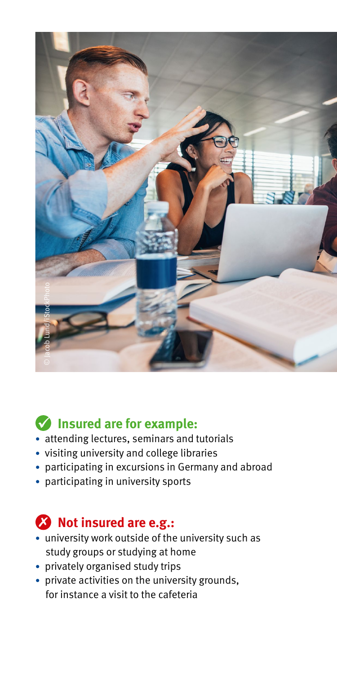

#### **Insured are for example:**

- attending lectures, seminars and tutorials
- visiting university and college libraries
- participating in excursions in Germany and abroad
- participating in university sports

#### **23** Not insured are e.g.:

- university work outside of the university such as study groups or studying at home
- privately organised study trips
- private activities on the university grounds, for instance a visit to the cafeteria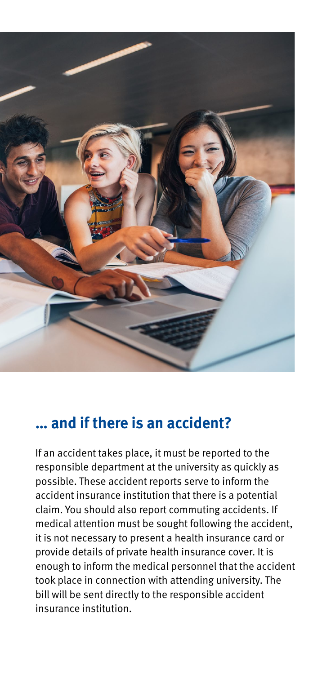

### **… and if there is an accident?**

If an accident takes place, it must be reported to the responsible department at the university as quickly as possible. These accident reports serve to inform the accident insurance institution that there is a potential claim. You should also report commuting accidents. If medical attention must be sought following the accident, it is not necessary to present a health insurance card or provide details of private health insurance cover. It is enough to inform the medical personnel that the accident took place in connection with attending university. The bill will be sent directly to the responsible accident insurance institution.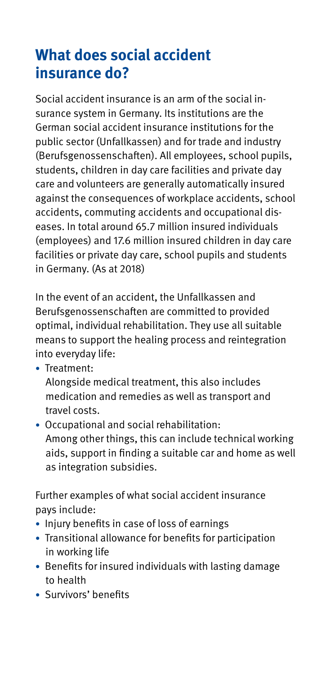## **What does social accident insurance do?**

Social accident insurance is an arm of the social insurance system in Germany. Its institutions are the German social accident insurance institutions for the public sector (Unfallkassen) and for trade and industry (Berufsgenossenschaften). All employees, school pupils, students, children in day care facilities and private day care and volunteers are generally automatically insured against the consequences of workplace accidents, school accidents, commuting accidents and occupational diseases. In total around 65.7 million insured individuals (employees) and 17.6 million insured children in day care facilities or private day care, school pupils and students in Germany. (As at 2018)

In the event of an accident, the Unfallkassen and Berufsgenossenschaften are committed to provided optimal, individual rehabilitation. They use all suitable means to support the healing process and reintegration into everyday life:

- Treatment:
	- Alongside medical treatment, this also includes medication and remedies as well as transport and travel costs.
- Occupational and social rehabilitation: Among other things, this can include technical working aids, support in finding a suitable car and home as well as integration subsidies.

Further examples of what social accident insurance pays include:

- Injury benefits in case of loss of earnings
- Transitional allowance for benefits for participation in working life
- Benefits for insured individuals with lasting damage to health
- Survivors' benefits